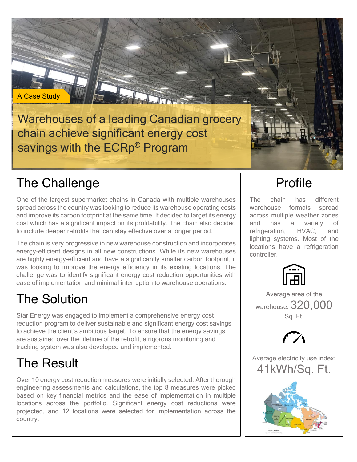A Case Study

Warehouses of a leading Canadian grocery chain achieve significant energy cost savings with the ECRp® Program

## The Challenge

One of the largest supermarket chains in Canada with multiple warehouses spread across the country was looking to reduce its warehouse operating costs and improve its carbon footprint at the same time. It decided to target its energy cost which has a significant impact on its profitability. The chain also decided to include deeper retrofits that can stay effective over a longer period.

The chain is very progressive in new warehouse construction and incorporates energy-efficient designs in all new constructions. While its new warehouses are highly energy-efficient and have a significantly smaller carbon footprint, it was looking to improve the energy efficiency in its existing locations. The challenge was to identify significant energy cost reduction opportunities with ease of implementation and minimal interruption to warehouse operations.

## The Solution

Star Energy was engaged to implement a comprehensive energy cost reduction program to deliver sustainable and significant energy cost savings to achieve the client's ambitious target. To ensure that the energy savings are sustained over the lifetime of the retrofit, a rigorous monitoring and tracking system was also developed and implemented.

## The Result

Over 10 energy cost reduction measures were initially selected. After thorough engineering assessments and calculations, the top 8 measures were picked based on key financial metrics and the ease of implementation in multiple locations across the portfolio. Significant energy cost reductions were projected, and 12 locations were selected for implementation across the country.

## Profile

The chain has different warehouse formats spread across multiple weather zones and has a variety of refrigeration, HVAC, and lighting systems. Most of the locations have a refrigeration controller.



Average area of the warehouse: 320,000 Sq. Ft.



Average electricity use index: 41kWh/Sq. Ft.